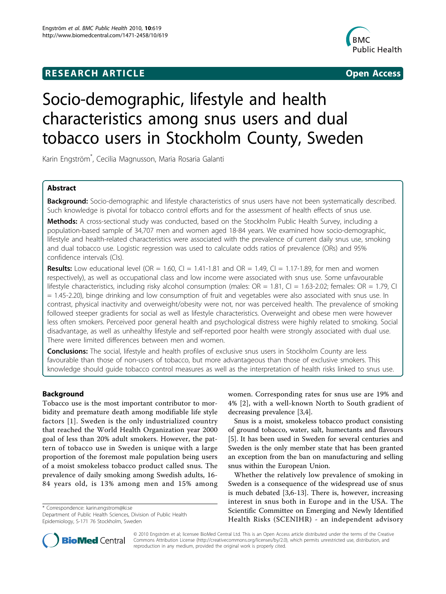# **RESEARCH ARTICLE Example 2008 CONSIDERING ACCESS**



# Socio-demographic, lifestyle and health characteristics among snus users and dual tobacco users in Stockholm County, Sweden

Karin Engström\* , Cecilia Magnusson, Maria Rosaria Galanti

# Abstract

Background: Socio-demographic and lifestyle characteristics of snus users have not been systematically described. Such knowledge is pivotal for tobacco control efforts and for the assessment of health effects of snus use.

**Methods:** A cross-sectional study was conducted, based on the Stockholm Public Health Survey, including a population-based sample of 34,707 men and women aged 18-84 years. We examined how socio-demographic, lifestyle and health-related characteristics were associated with the prevalence of current daily snus use, smoking and dual tobacco use. Logistic regression was used to calculate odds ratios of prevalence (ORs) and 95% confidence intervals (CIs).

**Results:** Low educational level (OR = 1.60, CI = 1.41-1.81 and OR = 1.49, CI = 1.17-1.89, for men and women respectively), as well as occupational class and low income were associated with snus use. Some unfavourable lifestyle characteristics, including risky alcohol consumption (males:  $OR = 1.81$ , Cl = 1.63-2.02; females:  $OR = 1.79$ , Cl = 1.45-2.20), binge drinking and low consumption of fruit and vegetables were also associated with snus use. In contrast, physical inactivity and overweight/obesity were not, nor was perceived health. The prevalence of smoking followed steeper gradients for social as well as lifestyle characteristics. Overweight and obese men were however less often smokers. Perceived poor general health and psychological distress were highly related to smoking. Social disadvantage, as well as unhealthy lifestyle and self-reported poor health were strongly associated with dual use. There were limited differences between men and women.

**Conclusions:** The social, lifestyle and health profiles of exclusive snus users in Stockholm County are less favourable than those of non-users of tobacco, but more advantageous than those of exclusive smokers. This knowledge should guide tobacco control measures as well as the interpretation of health risks linked to snus use.

# Background

Tobacco use is the most important contributor to morbidity and premature death among modifiable life style factors [[1](#page-8-0)]. Sweden is the only industrialized country that reached the World Health Organization year 2000 goal of less than 20% adult smokers. However, the pattern of tobacco use in Sweden is unique with a large proportion of the foremost male population being users of a moist smokeless tobacco product called snus. The prevalence of daily smoking among Swedish adults, 16- 84 years old, is 13% among men and 15% among

\* Correspondence: [karin.engstrom@ki.se](mailto:karin.engstrom@ki.se)

Department of Public Health Sciences, Division of Public Health Epidemiology, S-171 76 Stockholm, Sweden



Snus is a moist, smokeless tobacco product consisting of ground tobacco, water, salt, humectants and flavours [[5\]](#page-8-0). It has been used in Sweden for several centuries and Sweden is the only member state that has been granted an exception from the ban on manufacturing and selling snus within the European Union.

Whether the relatively low prevalence of smoking in Sweden is a consequence of the widespread use of snus is much debated [[3,6-13\]](#page-8-0). There is, however, increasing interest in snus both in Europe and in the USA. The Scientific Committee on Emerging and Newly Identified Health Risks (SCENIHR) - an independent advisory



© 2010 Engström et al; licensee BioMed Central Ltd. This is an Open Access article distributed under the terms of the Creative Commons Attribution License [\(http://creativecommons.org/licenses/by/2.0](http://creativecommons.org/licenses/by/2.0)), which permits unrestricted use, distribution, and reproduction in any medium, provided the original work is properly cited.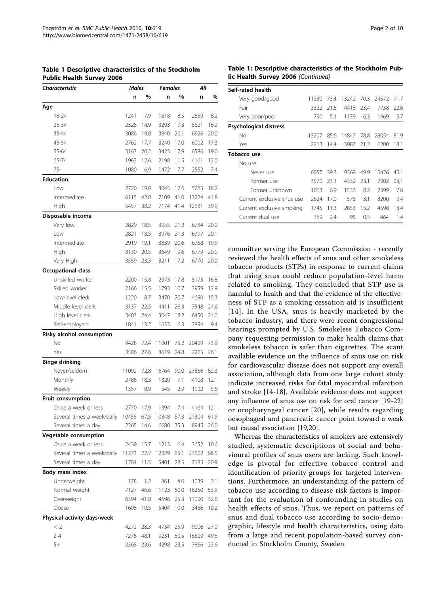| <b>Characteristic</b>                       | Males |      | <b>Females</b> |      | Λll        |      |
|---------------------------------------------|-------|------|----------------|------|------------|------|
|                                             | n     | %    | n              | %    | n          | %    |
| Age                                         |       |      |                |      |            |      |
| 18-24                                       | 1241  | 7.9  | 1618           | 8.5  | 2859       | 8.2  |
| 25-34                                       | 2328  | 14.9 | 3293           | 17.3 | 5621       | 16.2 |
| 35-44                                       | 3086  | 19.8 | 3840           | 20.1 | 6926       | 20.0 |
| 45-54                                       | 2762  | 17.7 | 3240           | 17.0 | 6002       | 17.3 |
| 55-64                                       | 3163  | 20.2 | 3423           | 17.9 | 6586       | 19.0 |
| 65-74                                       | 1963  | 12.6 | 2198           | 11.5 | 4161       | 12.0 |
| 75-                                         | 1080  | 6.9  | 1472           | 7.7  | 2552       | 7.4  |
| <b>Education</b>                            |       |      |                |      |            |      |
| Low                                         | 2720  | 19.0 | 3045           | 17.6 | 5765       | 18.2 |
| Intermediate                                | 6115  | 42.8 | 7109           | 41.0 | 13224      | 41.8 |
| High                                        | 5457  | 38.2 | 7174           | 41.4 | 12631      | 39.9 |
| Disposable income                           |       |      |                |      |            |      |
| Very low                                    | 2829  | 18.5 | 3955           | 21.2 | 6784       | 20.0 |
| Low                                         | 2821  | 18.5 | 3976           | 21.3 | 6797       | 20.1 |
| Intermediate                                | 2919  | 19.1 | 3839           | 20.6 | 6758       | 19.9 |
| High                                        | 3130  | 20.5 | 3649           | 19.6 | 6779       | 20.0 |
| Very High                                   | 3559  | 23.3 | 3211           | 17.2 | 6770       | 20.0 |
| Occupational class                          |       |      |                |      |            |      |
| Unskilled worker                            | 2200  | 15.8 | 2973           | 17.8 | 5173       | 16.8 |
| Skilled worker                              | 2166  | 15.5 | 1793           | 10.7 | 3959       | 12.9 |
| Low-level clerk                             | 1220  | 8.7  | 3470           | 20.7 | 4690       | 15.3 |
| Middle level clerk                          | 3137  | 22.5 | 4411           | 26.3 | 7548       | 24.6 |
| High level clerk                            | 3403  | 24.4 | 3047           | 18.2 | 6450       | 21.0 |
| Self-employed                               | 1841  | 13.2 | 1053           | 6.3  | 2894       | 9.4  |
| Risky alcohol consumption                   |       |      |                |      |            |      |
| No                                          | 9428  | 72.4 | 11001          | 75.2 | 20429      | 73.9 |
| Yes                                         | 3586  | 27.6 | 3619           | 24.8 | 7205       | 26.1 |
| <b>Binge drinking</b>                       |       |      |                |      |            |      |
| Never/seldom                                | 11092 | 72.8 | 16764          | 90.0 | 27856      | 82.3 |
| Monthly                                     | 2788  | 18.3 | 1320           | 7.1  | 4108       | 12.1 |
| Weekly                                      | 1357  | 8.9  | 545            | 2.9  | 1902       | 5.6  |
| Fruit consumption                           |       |      |                |      |            |      |
| Once a week or less                         | 2770  | 17.9 | 1394           | 7.4  | 4164       | 12.1 |
| Several times a week/daily 10456 67.5 10848 |       |      |                | 57.3 | 21304 61.9 |      |
| Several times a day                         | 2265  | 14.6 | 6680           | 35.3 | 8945       | 26.0 |
| Vegetable consumption                       |       |      |                |      |            |      |
| Once a week or less                         | 2439  | 15.7 | 1213           | 6.4  | 3652       | 10.6 |
| Several times a week/daily                  | 11273 | 72.7 | 12329          | 65.1 | 23602      | 68.5 |
| Several times a day                         | 1784  | 11.5 | 5401           | 28.5 | 7185       | 20.9 |
| Body mass index                             |       |      |                |      |            |      |
| Underweight                                 | 178   | 1.2  | 861            | 4.6  | 1039       | 3.1  |
| Normal weight                               | 7127  | 46.6 | 11123          | 60.0 | 18250      | 53.9 |
| Overweight                                  | 6394  | 41.8 | 4696           | 25.3 | 11090      | 32.8 |
| Obese                                       | 1608  | 10.5 | 5404           | 10.0 | 3466       | 10.2 |
| Physical activity days/week                 |       |      |                |      |            |      |
| < 2                                         | 4272  | 28.3 | 4734           | 25.9 | 9006       | 27.0 |
| $2 - 4$                                     | 7278  | 48.1 | 9231           | 50.5 | 16509      | 49.5 |
|                                             |       |      |                |      |            |      |

5+ 3568 23.6 4298 23.5 7866 23.6

<span id="page-1-0"></span>Table 1 Descriptive characteristics of the Stockholm Public Health Survey 2006

## Table 1: Descriptive characteristics of the Stockholm Public Health Survey 2006 (Continued)

| Self-rated health          |       |      |       |      |       |      |
|----------------------------|-------|------|-------|------|-------|------|
| Very good/good             | 11330 | 73.4 | 13242 | 70.3 | 24572 | 717  |
| Fair                       | 3322  | 21.5 | 4416  | 23.4 | 7738  | 22.6 |
| Very poor/poor             | 790   | 5.1  | 1179  | 6.3  | 1969  | 5.7  |
| Psychological distress     |       |      |       |      |       |      |
| No                         | 13207 | 85.6 | 14847 | 78.8 | 28054 | 819  |
| Yes                        | 2213  | 14.4 | 3987  | 21.2 | 6200  | 18.1 |
| Tobacco use                |       |      |       |      |       |      |
| No use                     |       |      |       |      |       |      |
| Never use                  | 6057  | 39.3 | 9369  | 49.9 | 15426 | 45.1 |
| Former use                 | 3570  | 23.1 | 4332  | 23.1 | 7902  | 23.1 |
| Former unknown             | 1063  | 6.9  | 1536  | 8.2  | 2599  | 7.6  |
| Current exclusive snus use | 2624  | 17.0 | 576   | 3.1  | 3200  | 9.4  |
| Current exclusive smoking  | 1745  | 11.3 | 2853  | 15.2 | 4598  | 13.4 |
| Current dual use           | 369   | 2.4  | 95    | 0.5  | 464   | 1.4  |

committee serving the European Commission - recently reviewed the health effects of snus and other smokeless tobacco products (STPs) in response to current claims that using snus could reduce population-level harm related to smoking. They concluded that STP use is harmful to health and that the evidence of the effectiveness of STP as a smoking cessation aid is insufficient [[14](#page-8-0)]. In the USA, snus is heavily marketed by the tobacco industry, and there were recent congressional hearings prompted by U.S. Smokeless Tobacco Company requesting permission to make health claims that smokeless tobacco is safer than cigarettes. The scant available evidence on the influence of snus use on risk for cardiovascular disease does not support any overall association, although data from one large cohort study indicate increased risks for fatal myocardial infarction and stroke [\[14](#page-8-0)-[18\]](#page-8-0). Available evidence does not support any influence of snus use on risk for oral cancer [\[19](#page-8-0)-[22](#page-8-0)] or oropharyngeal cancer [[20](#page-8-0)], while results regarding oesophageal and pancreatic cancer point toward a weak but causal association [\[19,20\]](#page-8-0).

Whereas the characteristics of smokers are extensively studied, systematic descriptions of social and behavioural profiles of snus users are lacking. Such knowledge is pivotal for effective tobacco control and identification of priority groups for targeted interventions. Furthermore, an understanding of the pattern of tobacco use according to disease risk factors is important for the evaluation of confounding in studies on health effects of snus. Thus, we report on patterns of snus and dual tobacco use according to socio-demographic, lifestyle and health characteristics, using data from a large and recent population-based survey conducted in Stockholm County, Sweden.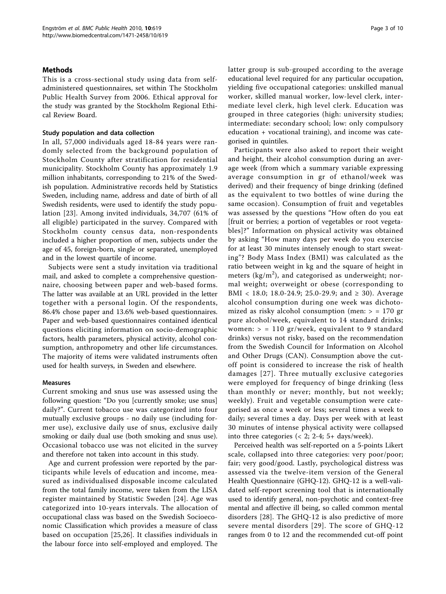# Methods

This is a cross-sectional study using data from selfadministered questionnaires, set within The Stockholm Public Health Survey from 2006. Ethical approval for the study was granted by the Stockholm Regional Ethical Review Board.

# Study population and data collection

In all, 57,000 individuals aged 18-84 years were randomly selected from the background population of Stockholm County after stratification for residential municipality. Stockholm County has approximately 1.9 million inhabitants, corresponding to 21% of the Swedish population. Administrative records held by Statistics Sweden, including name, address and date of birth of all Swedish residents, were used to identify the study population [[23](#page-9-0)]. Among invited individuals, 34,707 (61% of all eligible) participated in the survey. Compared with Stockholm county census data, non-respondents included a higher proportion of men, subjects under the age of 45, foreign-born, single or separated, unemployed and in the lowest quartile of income.

Subjects were sent a study invitation via traditional mail, and asked to complete a comprehensive questionnaire, choosing between paper and web-based forms. The latter was available at an URL provided in the letter together with a personal login. Of the respondents, 86.4% chose paper and 13.6% web-based questionnaires. Paper and web-based questionnaires contained identical questions eliciting information on socio-demographic factors, health parameters, physical activity, alcohol consumption, anthropometry and other life circumstances. The majority of items were validated instruments often used for health surveys, in Sweden and elsewhere.

# Measures

Current smoking and snus use was assessed using the following question: "Do you [currently smoke; use snus] daily?". Current tobacco use was categorized into four mutually exclusive groups - no daily use (including former use), exclusive daily use of snus, exclusive daily smoking or daily dual use (both smoking and snus use). Occasional tobacco use was not elicited in the survey and therefore not taken into account in this study.

Age and current profession were reported by the participants while levels of education and income, measured as individualised disposable income calculated from the total family income, were taken from the LISA register maintained by Statistic Sweden [[24](#page-9-0)]. Age was categorized into 10-years intervals. The allocation of occupational class was based on the Swedish Socioeconomic Classification which provides a measure of class based on occupation [\[25,26\]](#page-9-0). It classifies individuals in the labour force into self-employed and employed. The latter group is sub-grouped according to the average educational level required for any particular occupation, yielding five occupational categories: unskilled manual worker, skilled manual worker, low-level clerk, intermediate level clerk, high level clerk. Education was grouped in three categories (high: university studies; intermediate: secondary school; low: only compulsory education + vocational training), and income was categorised in quintiles.

Participants were also asked to report their weight and height, their alcohol consumption during an average week (from which a summary variable expressing average consumption in gr of ethanol/week was derived) and their frequency of binge drinking (defined as the equivalent to two bottles of wine during the same occasion). Consumption of fruit and vegetables was assessed by the questions "How often do you eat [fruit or berries; a portion of vegetables or root vegetables]?" Information on physical activity was obtained by asking "How many days per week do you exercise for at least 30 minutes intensely enough to start sweating"? Body Mass Index (BMI) was calculated as the ratio between weight in kg and the square of height in meters ( $\text{kg/m}^2$ ), and categorised as underweight; normal weight; overweight or obese (corresponding to BMI < 18.0; 18.0-24.9; 25.0-29.9; and  $\geq$  30). Average alcohol consumption during one week was dichotomized as risky alcohol consumption (men:  $>$  = 170 gr pure alcohol/week, equivalent to 14 standard drinks; women:  $>$  = 110 gr/week, equivalent to 9 standard drinks) versus not risky, based on the recommendation from the Swedish Council for Information on Alcohol and Other Drugs (CAN). Consumption above the cutoff point is considered to increase the risk of health damages [[27](#page-9-0)]. Three mutually exclusive categories were employed for frequency of binge drinking (less than monthly or never; monthly, but not weekly; weekly). Fruit and vegetable consumption were categorised as once a week or less; several times a week to daily; several times a day. Days per week with at least 30 minutes of intense physical activity were collapsed into three categories  $\left($  < 2; 2-4; 5+ days/week).

Perceived health was self-reported on a 5-points Likert scale, collapsed into three categories: very poor/poor; fair; very good/good. Lastly, psychological distress was assessed via the twelve-item version of the General Health Questionnaire (GHQ-12). GHQ-12 is a well-validated self-report screening tool that is internationally used to identify general, non-psychotic and context-free mental and affective ill being, so called common mental disorders [\[28](#page-9-0)]. The GHQ-12 is also predictive of more severe mental disorders [[29\]](#page-9-0). The score of GHQ-12 ranges from 0 to 12 and the recommended cut-off point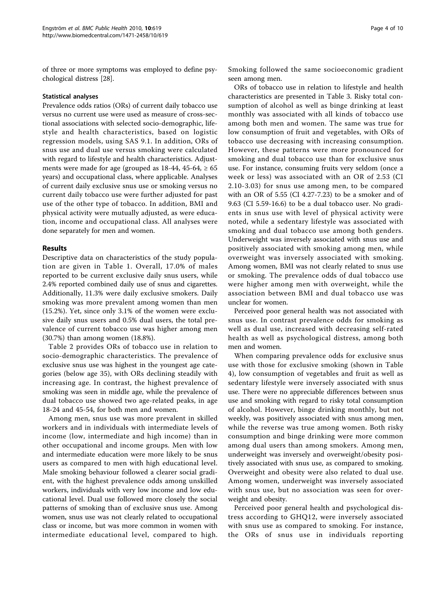of three or more symptoms was employed to define psychological distress [\[28](#page-9-0)].

## Statistical analyses

Prevalence odds ratios (ORs) of current daily tobacco use versus no current use were used as measure of cross-sectional associations with selected socio-demographic, lifestyle and health characteristics, based on logistic regression models, using SAS 9.1. In addition, ORs of snus use and dual use versus smoking were calculated with regard to lifestyle and health characteristics. Adjustments were made for age (grouped as  $18-44$ ,  $45-64$ ,  $\geq 65$ years) and occupational class, where applicable. Analyses of current daily exclusive snus use or smoking versus no current daily tobacco use were further adjusted for past use of the other type of tobacco. In addition, BMI and physical activity were mutually adjusted, as were education, income and occupational class. All analyses were done separately for men and women.

# Results

Descriptive data on characteristics of the study population are given in Table [1](#page-1-0). Overall, 17.0% of males reported to be current exclusive daily snus users, while 2.4% reported combined daily use of snus and cigarettes. Additionally, 11.3% were daily exclusive smokers. Daily smoking was more prevalent among women than men (15.2%). Yet, since only 3.1% of the women were exclusive daily snus users and 0.5% dual users, the total prevalence of current tobacco use was higher among men (30.7%) than among women (18.8%).

Table [2](#page-4-0) provides ORs of tobacco use in relation to socio-demographic characteristics. The prevalence of exclusive snus use was highest in the youngest age categories (below age 35), with ORs declining steadily with increasing age. In contrast, the highest prevalence of smoking was seen in middle age, while the prevalence of dual tobacco use showed two age-related peaks, in age 18-24 and 45-54, for both men and women.

Among men, snus use was more prevalent in skilled workers and in individuals with intermediate levels of income (low, intermediate and high income) than in other occupational and income groups. Men with low and intermediate education were more likely to be snus users as compared to men with high educational level. Male smoking behaviour followed a clearer social gradient, with the highest prevalence odds among unskilled workers, individuals with very low income and low educational level. Dual use followed more closely the social patterns of smoking than of exclusive snus use. Among women, snus use was not clearly related to occupational class or income, but was more common in women with intermediate educational level, compared to high. Smoking followed the same socioeconomic gradient seen among men.

ORs of tobacco use in relation to lifestyle and health characteristics are presented in Table [3.](#page-5-0) Risky total consumption of alcohol as well as binge drinking at least monthly was associated with all kinds of tobacco use among both men and women. The same was true for low consumption of fruit and vegetables, with ORs of tobacco use decreasing with increasing consumption. However, these patterns were more pronounced for smoking and dual tobacco use than for exclusive snus use. For instance, consuming fruits very seldom (once a week or less) was associated with an OR of 2.53 (CI 2.10-3.03) for snus use among men, to be compared with an OR of 5.55 (CI 4.27-7.23) to be a smoker and of 9.63 (CI 5.59-16.6) to be a dual tobacco user. No gradients in snus use with level of physical activity were noted, while a sedentary lifestyle was associated with smoking and dual tobacco use among both genders. Underweight was inversely associated with snus use and positively associated with smoking among men, while overweight was inversely associated with smoking. Among women, BMI was not clearly related to snus use or smoking. The prevalence odds of dual tobacco use were higher among men with overweight, while the association between BMI and dual tobacco use was unclear for women.

Perceived poor general health was not associated with snus use. In contrast prevalence odds for smoking as well as dual use, increased with decreasing self-rated health as well as psychological distress, among both men and women.

When comparing prevalence odds for exclusive snus use with those for exclusive smoking (shown in Table [4\)](#page-6-0), low consumption of vegetables and fruit as well as sedentary lifestyle were inversely associated with snus use. There were no appreciable differences between snus use and smoking with regard to risky total consumption of alcohol. However, binge drinking monthly, but not weekly, was positively associated with snus among men, while the reverse was true among women. Both risky consumption and binge drinking were more common among dual users than among smokers. Among men, underweight was inversely and overweight/obesity positively associated with snus use, as compared to smoking. Overweight and obesity were also related to dual use. Among women, underweight was inversely associated with snus use, but no association was seen for overweight and obesity.

Perceived poor general health and psychological distress according to GHQ12, were inversely associated with snus use as compared to smoking. For instance, the ORs of snus use in individuals reporting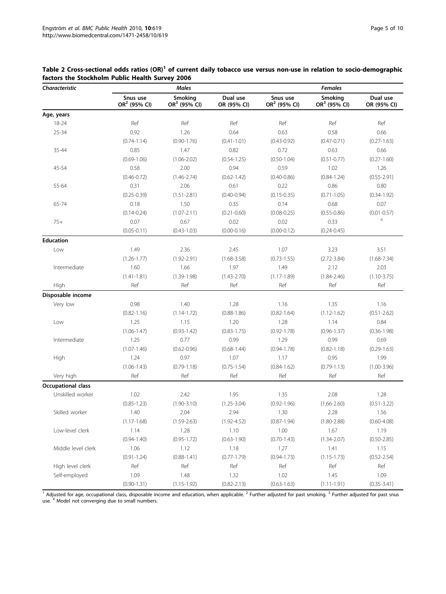| Characteristic     |                                      | <b>Males</b>              |                         | <b>Females</b>                       |                           |                         |  |
|--------------------|--------------------------------------|---------------------------|-------------------------|--------------------------------------|---------------------------|-------------------------|--|
|                    | Snus use<br>OR <sup>2</sup> (95% CI) | Smoking<br>$OR3$ (95% CI) | Dual use<br>OR (95% CI) | Snus use<br>OR <sup>2</sup> (95% CI) | Smoking<br>$OR3$ (95% CI) | Dual use<br>OR (95% CI) |  |
| Age, years         |                                      |                           |                         |                                      |                           |                         |  |
| 18-24              | Ref                                  | Ref                       | Ref                     | Ref                                  | Ref                       | Ref                     |  |
| 25-34              | 0.92                                 | 1.26                      | 0.64                    | 0.63                                 | 0.58                      | 0.66                    |  |
|                    | $(0.74 - 1.14)$                      | $(0.90 - 1.76)$           | $(0.41 - 1.01)$         | $(0.43 - 0.92)$                      | $(0.47 - 0.71)$           | $(0.27 - 1.63)$         |  |
| 35-44              | 0.85                                 | 1.47                      | 0.82                    | 0.72                                 | 0.63                      | 0.66                    |  |
|                    | $(0.69 - 1.06)$                      | $(1.06 - 2.02)$           | $(0.54 - 1.25)$         | $(0.50 - 1.04)$                      | $(0.51 - 0.77)$           | $(0.27 - 1.60)$         |  |
| 45-54              | 0.58                                 | 2.00                      | 0.94                    | 0.59                                 | 1.02                      | 1.26                    |  |
|                    | $(0.46 - 0.72)$                      | $(1.46 - 2.74)$           | $(0.62 - 1.42)$         | $(0.40 - 0.86)$                      | $(0.84 - 1.24)$           | $(0.55 - 2.91)$         |  |
| 55-64              | 0.31                                 | 2.06                      | 0.61                    | 0.22                                 | 0.86                      | 0.80                    |  |
|                    | $(0.25 - 0.39)$                      | $(1.51 - 2.81)$           | $(0.40 - 0.94)$         | $(0.15 - 0.35)$                      | $(0.71 - 1.05)$           | $(0.34 - 1.92)$         |  |
| 65-74              | 0.18                                 | 1.50                      | 0.35                    | 0.14                                 | 0.68                      | 0.07                    |  |
|                    | $(0.14 - 0.24)$                      | $(1.07 - 2.11)$           | $(0.21 - 0.60)$         | $(0.08 - 0.25)$                      | $(0.55 - 0.86)$           | $(0.01 - 0.57)$         |  |
| $75+$              | 0.07                                 | 0.67                      | 0.02                    | 0.02                                 | 0.33                      | $\overline{4}$          |  |
|                    | $(0.05 - 0.11)$                      | $(0.43 - 1.03)$           | $(0.00 - 0.16)$         | $(0.00 - 0.12)$                      | $(0.24 - 0.45)$           |                         |  |
| <b>Education</b>   |                                      |                           |                         |                                      |                           |                         |  |
| Low                | 1.49                                 | 2.36                      | 2.45                    | 1.07                                 | 3.23                      | 3.51                    |  |
|                    | $(1.26 - 1.77)$                      | $(1.92 - 2.91)$           | $(1.68 - 3.58)$         | $(0.73 - 1.55)$                      | $(2.72 - 3.84)$           | $(1.68 - 7.34)$         |  |
| Intermediate       | 1.60                                 | 1.66                      | 1.97                    | 1.49                                 | 2.12                      | 2.03                    |  |
|                    | $(1.41 - 1.81)$                      | $(1.39 - 1.98)$           | $(1.43 - 2.70)$         | $(1.17 - 1.89)$                      | $(1.84 - 2.46)$           | $(1.10 - 3.75)$         |  |
| High               | Ref                                  | Ref                       | Ref                     | Ref                                  | Ref                       | Ref                     |  |
| Disposable income  |                                      |                           |                         |                                      |                           |                         |  |
| Very low           | 0.98                                 | 1.40                      | 1.28                    | 1.16                                 | 1.35                      | 1.16                    |  |
|                    | $(0.82 - 1.16)$                      | $(1.14 - 1.72)$           | $(0.88 - 1.86)$         | $(0.82 - 1.64)$                      | $(1.12 - 1.62)$           | $(0.51 - 2.62)$         |  |
| Low                | 1.25                                 | 1.15                      | 1.20                    | 1.28                                 | 1.14                      | 0.84                    |  |
|                    | $(1.06 - 1.47)$                      | $(0.93 - 1.42)$           | $(0.83 - 1.75)$         | $(0.92 - 1.78)$                      | $(0.96 - 1.37)$           | $(0.36 - 1.98)$         |  |
| Intermediate       | 1.25                                 | 0.77                      | 0.99                    | 1.29                                 | 0.99                      | 0.69                    |  |
|                    | $(1.07 - 1.46)$                      | $(0.62 - 0.96)$           | $(0.68 - 1.44)$         | $(0.94 - 1.78)$                      | $(0.82 - 1.18)$           | $(0.29 - 1.63)$         |  |
| High               | 1.24                                 | 0.97                      | 1.07                    | 1.17                                 | 0.95                      | 1.99                    |  |
|                    | $(1.06 - 1.43)$                      | $(0.79 - 1.18)$           | $(0.75 - 1.54)$         | $(0.84 - 1.62)$                      | $(0.79 - 1.13)$           | $(1.00 - 3.96)$         |  |
| Very high          | Ref                                  | Ref                       | Ref                     | Ref                                  | Ref                       | Ref                     |  |
| Occupational class |                                      |                           |                         |                                      |                           |                         |  |
| Unskilled worker   | 1.02                                 | 2.42                      | 1.95                    | 1.35                                 | 2.08                      | 1.28                    |  |
|                    | $(0.85 - 1.23)$                      | $(1.90 - 3.10)$           | $(1.25 - 3.04)$         | $(0.92 - 1.96)$                      | $(1.66 - 2.60)$           | $(0.51 - 3.22)$         |  |
| Skilled worker     | 1.40                                 | 2.04                      | 2.94                    | 1.30                                 | 2.28                      | 1.56                    |  |
|                    | $(1.17-1.68)$                        | $(1.59 - 2.63)$           | $(1.92 - 4.52)$         | $(0.87 - 1.94)$                      | $(1.80 - 2.88)$           | $(0.60 - 4.08)$         |  |
| Low-level clerk    | 1.14                                 | 1.28                      | 1.10                    | 1.00                                 | 1.67                      | 1.19                    |  |
|                    | $(0.94 - 1.40)$                      | $(0.95 - 1.72)$           | $(0.63 - 1.90)$         | $(0.70 - 1.43)$                      | $(1.34 - 2.07)$           | $(0.50 - 2.85)$         |  |
| Middle level clerk | 1.06                                 | 1.12                      | 1.18                    | 1.27                                 | 1.41                      | 1.15                    |  |
|                    | $(0.91 - 1.24)$                      | $(0.88 - 1.41)$           | $(0.77 - 1.79)$         | $(0.94 - 1.73)$                      | $(1.15 - 1.73)$           | $(0.52 - 2.54)$         |  |
| High level clerk   | Ref                                  | Ref                       | Ref                     | Ref                                  | Ref                       | Ref                     |  |
| Self-employed      | 1.09                                 | 1.48                      | 1.32                    | 1.02                                 | 1.45                      | 1.09                    |  |
|                    | $(0.90 - 1.31)$                      | $(1.15 - 1.92)$           | $(0.82 - 2.13)$         | $(0.63 - 1.63)$                      | $(1.11 - 1.91)$           | $(0.35 - 3.41)$         |  |

# <span id="page-4-0"></span>Table 2 Cross-sectional odds ratios (OR)<sup>1</sup> of current daily tobacco use versus non-use in relation to socio-demographic factors the Stockholm Public Health Survey 2006

 $\frac{1}{1}$  Adjusted for age, occupational class, disposable income and education, when applicable. <sup>2</sup> Further adjusted for past smoking. <sup>3</sup> Further adjusted for past snus use. <sup>4</sup> Model not converging due to small numbers.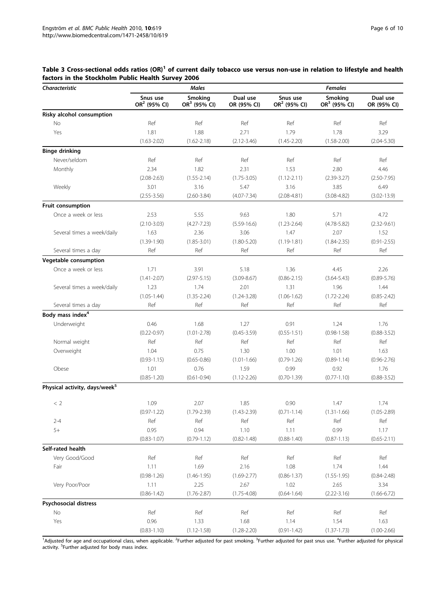| <b>Characteristic</b>                     |                                      | <b>Males</b>               |                         | <b>Females</b>                       |                           |                         |  |
|-------------------------------------------|--------------------------------------|----------------------------|-------------------------|--------------------------------------|---------------------------|-------------------------|--|
|                                           | Snus use<br>OR <sup>2</sup> (95% CI) | Smoking<br>OR $3$ (95% CI) | Dual use<br>OR (95% CI) | Snus use<br>OR <sup>2</sup> (95% CI) | Smoking<br>$OR3$ (95% CI) | Dual use<br>OR (95% CI) |  |
| Risky alcohol consumption                 |                                      |                            |                         |                                      |                           |                         |  |
| No                                        | Ref                                  | Ref                        | Ref                     | Ref                                  | Ref                       | Ref                     |  |
| Yes                                       | 1.81                                 | 1.88                       | 2.71                    | 1.79                                 | 1.78                      | 3.29                    |  |
|                                           | $(1.63 - 2.02)$                      | $(1.62 - 2.18)$            | $(2.12 - 3.46)$         | $(1.45 - 2.20)$                      | $(1.58 - 2.00)$           | $(2.04 - 5.30)$         |  |
| <b>Binge drinking</b>                     |                                      |                            |                         |                                      |                           |                         |  |
| Never/seldom                              | Ref                                  | Ref                        | Ref                     | Ref                                  | Ref                       | Ref                     |  |
| Monthly                                   | 2.34                                 | 1.82                       | 2.31                    | 1.53                                 | 2.80                      | 4.46                    |  |
|                                           | $(2.08 - 2.63)$                      | $(1.55 - 2.14)$            | $(1.75 - 3.05)$         | $(1.12 - 2.11)$                      | $(2.39 - 3.27)$           | $(2.50 - 7.95)$         |  |
| Weekly                                    | 3.01                                 | 3.16                       | 5.47                    | 3.16                                 | 3.85                      | 6.49                    |  |
|                                           | $(2.55 - 3.56)$                      | $(2.60 - 3.84)$            | $(4.07 - 7.34)$         | $(2.08 - 4.81)$                      | $(3.08 - 4.82)$           | $(3.02 - 13.9)$         |  |
| Fruit consumption                         |                                      |                            |                         |                                      |                           |                         |  |
| Once a week or less                       | 2.53                                 | 5.55                       | 9.63                    | 1.80                                 | 5.71                      | 4.72                    |  |
|                                           | $(2.10 - 3.03)$                      | $(4.27 - 7.23)$            | $(5.59 - 16.6)$         | $(1.23 - 2.64)$                      | $(4.78 - 5.82)$           | $(2.32 - 9.61)$         |  |
| Several times a week/daily                | 1.63                                 | 2.36                       | 3.06                    | 1.47                                 | 2.07                      | 1.52                    |  |
|                                           | $(1.39 - 1.90)$                      | $(1.85 - 3.01)$            | $(1.80 - 5.20)$         | $(1.19 - 1.81)$                      | $(1.84 - 2.35)$           | $(0.91 - 2.55)$         |  |
| Several times a day                       | Ref                                  | Ref                        | Ref                     | Ref                                  | Ref                       | Ref                     |  |
| Vegetable consumption                     |                                      |                            |                         |                                      |                           |                         |  |
| Once a week or less                       | 1.71                                 | 3.91                       | 5.18                    | 1.36                                 | 4.45                      | 2.26                    |  |
|                                           | $(1.41 - 2.07)$                      | $(2.97 - 5.15)$            | $(3.09 - 8.67)$         | $(0.86 - 2.15)$                      | $(3.64 - 5.43)$           | $(0.89 - 5.76)$         |  |
| Several times a week/daily                | 1.23                                 | 1.74                       | 2.01                    | 1.31                                 | 1.96                      | 1.44                    |  |
|                                           | $(1.05 - 1.44)$                      | $(1.35 - 2.24)$            | $(1.24 - 3.28)$         | $(1.06 - 1.62)$                      | $(1.72 - 2.24)$           | $(0.85 - 2.42)$         |  |
| Several times a day                       | Ref                                  | Ref                        | Ref                     | Ref                                  | Ref                       | Ref                     |  |
| Body mass index <sup>4</sup>              |                                      |                            |                         |                                      |                           |                         |  |
| Underweight                               | 0.46                                 | 1.68                       | 1.27                    | 0.91                                 | 1.24                      | 1.76                    |  |
|                                           | $(0.22 - 0.97)$                      | $(1.01 - 2.78)$            | $(0.45 - 3.59)$         | $(0.55 - 1.51)$                      | $(0.98 - 1.58)$           | $(0.88 - 3.52)$         |  |
| Normal weight                             | Ref                                  | Ref                        | Ref                     | Ref                                  | Ref                       | Ref                     |  |
| Overweight                                | 1.04                                 | 0.75                       | 1.30                    | 1.00                                 | 1.01                      | 1.63                    |  |
|                                           | $(0.93 - 1.15)$                      | $(0.65 - 0.86)$            | $(1.01 - 1.66)$         | $(0.79 - 1.26)$                      | $(0.89 - 1.14)$           | $(0.96 - 2.76)$         |  |
| Obese                                     | 1.01                                 | 0.76                       | 1.59                    | 0.99                                 | 0.92                      | 1.76                    |  |
|                                           | $(0.85 - 1.20)$                      | $(0.61 - 0.94)$            | $(1.12 - 2.26)$         | $(0.70 - 1.39)$                      | $(0.77 - 1.10)$           | $(0.88 - 3.52)$         |  |
| Physical activity, days/week <sup>5</sup> |                                      |                            |                         |                                      |                           |                         |  |
| < 2                                       | 1.09                                 | 2.07                       | 1.85                    | 0.90                                 | 1.47                      | 1.74                    |  |
|                                           | $(0.97 - 1.22)$                      | $(1.79 - 2.39)$            | $(1.43 - 2.39)$         | $(0.71 - 1.14)$                      | $(1.31 - 1.66)$           | $(1.05 - 2.89)$         |  |
| $2 - 4$                                   | Ref                                  | Ref                        | Ref                     | Ref                                  | Ref                       | Ref                     |  |
| $5+$                                      | 0.95                                 | 0.94                       | 1.10                    | 1.11                                 | 0.99                      | 1.17                    |  |
|                                           | $(0.83 - 1.07)$                      | $(0.79 - 1.12)$            | $(0.82 - 1.48)$         | $(0.88 - 1.40)$                      | $(0.87 - 1.13)$           | $(0.65 - 2.11)$         |  |
| Self-rated health                         |                                      |                            |                         |                                      |                           |                         |  |
| Very Good/Good                            | Ref                                  | Ref                        | Ref                     | Ref                                  | Ref                       | Ref                     |  |
|                                           | 1.11                                 | 1.69                       | 2.16                    | 1.08                                 | 1.74                      | 1.44                    |  |
| Fair                                      | $(0.98 - 1.26)$                      | $(1.46 - 1.95)$            | $(1.69 - 2.77)$         | $(0.86 - 1.37)$                      | $(1.55 - 1.95)$           | $(0.84 - 2.48)$         |  |
| Very Poor/Poor                            | 1.11                                 | 2.25                       | 2.67                    | 1.02                                 | 2.65                      | 3.34                    |  |
|                                           | $(0.86 - 1.42)$                      | $(1.76 - 2.87)$            | $(1.75 - 4.08)$         | $(0.64 - 1.64)$                      | $(2.22 - 3.16)$           | $(1.66 - 6.72)$         |  |
| <b>Psychosocial distress</b>              |                                      |                            |                         |                                      |                           |                         |  |
| No                                        | Ref                                  | Ref                        | Ref                     | Ref                                  | Ref                       | Ref                     |  |
| Yes                                       | 0.96                                 | 1.33                       | 1.68                    | 1.14                                 | 1.54                      | 1.63                    |  |
|                                           | $(0.83 - 1.10)$                      | $(1.12 - 1.58)$            | $(1.28 - 2.20)$         | $(0.91 - 1.42)$                      |                           | $(1.00 - 2.66)$         |  |
|                                           |                                      |                            |                         |                                      | $(1.37 - 1.73)$           |                         |  |

# <span id="page-5-0"></span>Table 3 Cross-sectional odds ratios (OR)<sup>1</sup> of current daily tobacco use versus non-use in relation to lifestyle and health factors in the Stockholm Public Health Survey 2006

<sup>1</sup>Adjusted for age and occupational class, when applicable. <sup>2</sup>Further adjusted for past smoking. <sup>3</sup>Further adjusted for past snus use. <sup>4</sup>Further adjusted for physical activity. <sup>5</sup>Further adjusted for body mass index.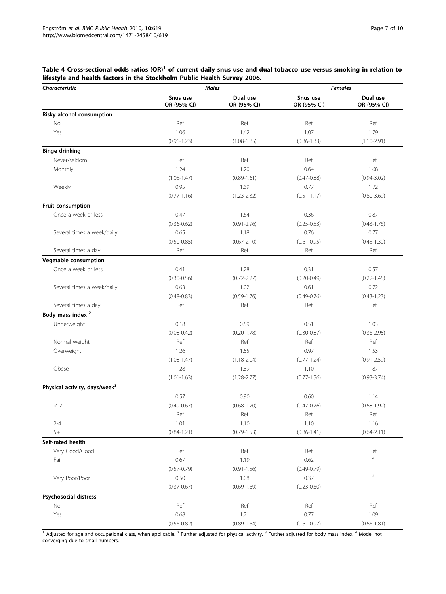# <span id="page-6-0"></span>Table 4 Cross-sectional odds ratios (OR)<sup>1</sup> of current daily snus use and dual tobacco use versus smoking in relation to lifestyle and health factors in the Stockholm Public Health Survey 2006.

| Characteristic                            |                         | <b>Males</b>            | <b>Females</b>          |                           |  |  |
|-------------------------------------------|-------------------------|-------------------------|-------------------------|---------------------------|--|--|
|                                           | Snus use<br>OR (95% CI) | Dual use<br>OR (95% CI) | Snus use<br>OR (95% CI) | Dual use<br>OR (95% CI)   |  |  |
| Risky alcohol consumption                 |                         |                         |                         |                           |  |  |
| No                                        | Ref                     | Ref                     | Ref                     | Ref                       |  |  |
| Yes                                       | 1.06                    | 1.42                    | 1.07                    | 1.79                      |  |  |
|                                           | $(0.91 - 1.23)$         | $(1.08 - 1.85)$         | $(0.86 - 1.33)$         | $(1.10 - 2.91)$           |  |  |
| <b>Binge drinking</b>                     |                         |                         |                         |                           |  |  |
| Never/seldom                              | Ref                     | Ref                     | Ref                     | Ref                       |  |  |
| Monthly                                   | 1.24                    | 1.20                    | 0.64                    | 1.68                      |  |  |
|                                           | $(1.05 - 1.47)$         | $(0.89 - 1.61)$         | $(0.47 - 0.88)$         | $(0.94 - 3.02)$           |  |  |
| Weekly                                    | 0.95                    | 1.69                    | 0.77                    | 1.72                      |  |  |
|                                           | $(0.77 - 1.16)$         | $(1.23 - 2.32)$         | $(0.51 - 1.17)$         | $(0.80 - 3.69)$           |  |  |
| Fruit consumption                         |                         |                         |                         |                           |  |  |
| Once a week or less                       | 0.47                    | 1.64                    | 0.36                    | 0.87                      |  |  |
|                                           | $(0.36 - 0.62)$         | $(0.91 - 2.96)$         | $(0.25 - 0.53)$         | $(0.43 - 1.76)$           |  |  |
| Several times a week/daily                | 0.65                    | 1.18                    | 0.76                    | 0.77                      |  |  |
|                                           | $(0.50 - 0.85)$         | $(0.67 - 2.10)$         | $(0.61 - 0.95)$         | $(0.45 - 1.30)$           |  |  |
| Several times a day                       | Ref                     | Ref                     | Ref                     | Ref                       |  |  |
| Vegetable consumption                     |                         |                         |                         |                           |  |  |
| Once a week or less                       | 0.41                    | 1.28                    | 0.31                    | 0.57                      |  |  |
|                                           | $(0.30 - 0.56)$         | $(0.72 - 2.27)$         | $(0.20 - 0.49)$         | $(0.22 - 1.45)$           |  |  |
| Several times a week/daily                | 0.63                    | 1.02                    | 0.61                    | 0.72                      |  |  |
|                                           | $(0.48 - 0.83)$         | $(0.59 - 1.76)$         | $(0.49 - 0.76)$         | $(0.43 - 1.23)$           |  |  |
| Several times a day                       | Ref                     | Ref                     | Ref                     | Ref                       |  |  |
| Body mass index <sup>2</sup>              |                         |                         |                         |                           |  |  |
|                                           |                         |                         |                         |                           |  |  |
| Underweight                               | 0.18                    | 0.59                    | 0.51                    | 1.03                      |  |  |
|                                           | $(0.08 - 0.42)$         | $(0.20 - 1.78)$         | $(0.30 - 0.87)$         | $(0.36 - 2.95)$           |  |  |
| Normal weight                             | Ref                     | Ref                     | Ref                     | Ref                       |  |  |
| Overweight                                | 1.26                    | 1.55                    | 0.97                    | 1.53                      |  |  |
|                                           | $(1.08 - 1.47)$         | $(1.18 - 2.04)$         | $(0.77 - 1.24)$         | $(0.91 - 2.59)$           |  |  |
| Obese                                     | 1.28                    | 1.89                    | 1.10                    | 1.87                      |  |  |
|                                           | $(1.01 - 1.63)$         | $(1.28 - 2.77)$         | $(0.77 - 1.56)$         | $(0.93 - 3.74)$           |  |  |
| Physical activity, days/week <sup>3</sup> |                         |                         |                         |                           |  |  |
|                                           | 0.57                    | 0.90                    | 0.60                    | 1.14                      |  |  |
| < 2                                       | $(0.49 - 0.67)$         | $(0.68 - 1.20)$         | $(0.47 - 0.76)$         | $(0.68 - 1.92)$           |  |  |
|                                           | Ref                     | Ref                     | Ref                     | Ref                       |  |  |
| $2 - 4$                                   | 1.01                    | 1.10                    | 1.10                    | 1.16                      |  |  |
| $5+$                                      | $(0.84 - 1.21)$         | $(0.79 - 1.53)$         | $(0.86 - 1.41)$         | $(0.64 - 2.11)$           |  |  |
| Self-rated health                         |                         |                         |                         |                           |  |  |
| Very Good/Good                            | Ref                     | Ref                     | Ref                     | Ref                       |  |  |
| Fair                                      | 0.67                    | 1.19                    | 0.62                    | $\overline{4}$            |  |  |
|                                           | $(0.57 - 0.79)$         | $(0.91 - 1.56)$         | $(0.49 - 0.79)$         |                           |  |  |
| Very Poor/Poor                            | 0.50                    | 1.08                    | 0.37                    | $\ensuremath{\mathsf{4}}$ |  |  |
|                                           | $(0.37 - 0.67)$         | $(0.69 - 1.69)$         | $(0.23 - 0.60)$         |                           |  |  |
| <b>Psychosocial distress</b>              |                         |                         |                         |                           |  |  |
| No                                        | Ref                     | Ref                     | Ref                     | Ref                       |  |  |
| Yes                                       | 0.68                    | 1.21                    | 0.77                    | 1.09                      |  |  |
|                                           | $(0.56 - 0.82)$         | $(0.89 - 1.64)$         | $(0.61 - 0.97)$         | $(0.66 - 1.81)$           |  |  |

 $\frac{1}{1}$  Adjusted for age and occupational class, when applicable. <sup>2</sup> Further adjusted for physical activity. <sup>3</sup> Further adjusted for body mass index. <sup>4</sup> Model not converging due to small numbers.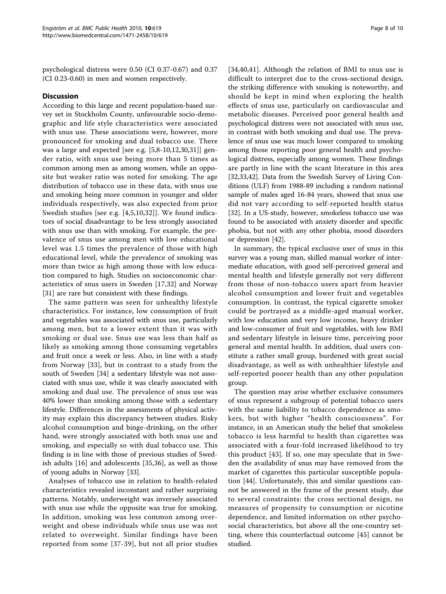psychological distress were 0.50 (CI 0.37-0.67) and 0.37 (CI 0.23-0.60) in men and women respectively.

# **Discussion**

According to this large and recent population-based survey set in Stockholm County, unfavourable socio-demographic and life style characteristics were associated with snus use. These associations were, however, more pronounced for smoking and dual tobacco use. There was a large and expected [see e.g. [[5,8-10,12](#page-8-0)[,30,31\]](#page-9-0)] gender ratio, with snus use being more than 5 times as common among men as among women, while an opposite but weaker ratio was noted for smoking. The age distribution of tobacco use in these data, with snus use and smoking being more common in younger and older individuals respectively, was also expected from prior Swedish studies [see e.g. [[4,5,10](#page-8-0),[32\]](#page-9-0)]. We found indicators of social disadvantage to be less strongly associated with snus use than with smoking. For example, the prevalence of snus use among men with low educational level was 1.5 times the prevalence of those with high educational level, while the prevalence of smoking was more than twice as high among those with low education compared to high. Studies on socioeconomic characteristics of snus users in Sweden [\[17](#page-8-0),[32\]](#page-9-0) and Norway [[31\]](#page-9-0) are rare but consistent with these findings.

The same pattern was seen for unhealthy lifestyle characteristics. For instance, low consumption of fruit and vegetables was associated with snus use, particularly among men, but to a lower extent than it was with smoking or dual use. Snus use was less than half as likely as smoking among those consuming vegetables and fruit once a week or less. Also, in line with a study from Norway [\[33\]](#page-9-0), but in contrast to a study from the south of Sweden [[34](#page-9-0)] a sedentary lifestyle was not associated with snus use, while it was clearly associated with smoking and dual use. The prevalence of snus use was 40% lower than smoking among those with a sedentary lifestyle. Differences in the assessments of physical activity may explain this discrepancy between studies. Risky alcohol consumption and binge-drinking, on the other hand, were strongly associated with both snus use and smoking, and especially so with dual tobacco use. This finding is in line with those of previous studies of Swedish adults [[16\]](#page-8-0) and adolescents [\[35,36\]](#page-9-0), as well as those of young adults in Norway [[33\]](#page-9-0).

Analyses of tobacco use in relation to health-related characteristics revealed inconstant and rather surprising patterns. Notably, underweight was inversely associated with snus use while the opposite was true for smoking. In addition, smoking was less common among overweight and obese individuals while snus use was not related to overweight. Similar findings have been reported from some [\[37-39\]](#page-9-0), but not all prior studies [[34,40](#page-9-0),[41\]](#page-9-0). Although the relation of BMI to snus use is difficult to interpret due to the cross-sectional design, the striking difference with smoking is noteworthy, and should be kept in mind when exploring the health effects of snus use, particularly on cardiovascular and metabolic diseases. Perceived poor general health and psychological distress were not associated with snus use, in contrast with both smoking and dual use. The prevalence of snus use was much lower compared to smoking among those reporting poor general health and psychological distress, especially among women. These findings are partly in line with the scant literature in this area [[32,33,42](#page-9-0)]. Data from the Swedish Survey of Living Conditions (ULF) from 1988-89 including a random national sample of males aged 16-84 years, showed that snus use did not vary according to self-reported health status [[32\]](#page-9-0). In a US-study, however, smokeless tobacco use was found to be associated with anxiety disorder and specific phobia, but not with any other phobia, mood disorders or depression [\[42](#page-9-0)].

In summary, the typical exclusive user of snus in this survey was a young man, skilled manual worker of intermediate education, with good self-perceived general and mental health and lifestyle generally not very different from those of non-tobacco users apart from heavier alcohol consumption and lower fruit and vegetables consumption. In contrast, the typical cigarette smoker could be portrayed as a middle-aged manual worker, with low education and very low income, heavy drinker and low-consumer of fruit and vegetables, with low BMI and sedentary lifestyle in leisure time, perceiving poor general and mental health. In addition, dual users constitute a rather small group, burdened with great social disadvantage, as well as with unhealthier lifestyle and self-reported poorer health than any other population group.

The question may arise whether exclusive consumers of snus represent a subgroup of potential tobacco users with the same liability to tobacco dependence as smokers, but with higher "health consciousness". For instance, in an American study the belief that smokeless tobacco is less harmful to health than cigarettes was associated with a four-fold increased likelihood to try this product [[43\]](#page-9-0). If so, one may speculate that in Sweden the availability of snus may have removed from the market of cigarettes this particular susceptible population [[44\]](#page-9-0). Unfortunately, this and similar questions cannot be answered in the frame of the present study, due to several constraints: the cross sectional design, no measures of propensity to consumption or nicotine dependence, and limited information on other psychosocial characteristics, but above all the one-country setting, where this counterfactual outcome [\[45](#page-9-0)] cannot be studied.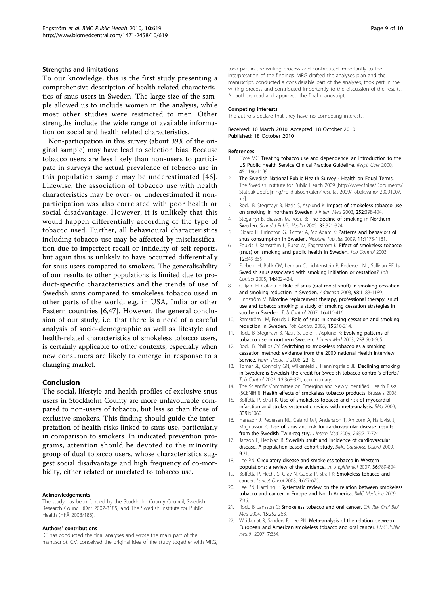## <span id="page-8-0"></span>Strengths and limitations

To our knowledge, this is the first study presenting a comprehensive description of health related characteristics of snus users in Sweden. The large size of the sample allowed us to include women in the analysis, while most other studies were restricted to men. Other strengths include the wide range of available information on social and health related characteristics.

Non-participation in this survey (about 39% of the original sample) may have lead to selection bias. Because tobacco users are less likely than non-users to participate in surveys the actual prevalence of tobacco use in this population sample may be underestimated [[46\]](#page-9-0). Likewise, the association of tobacco use with health characteristics may be over- or underestimated if nonparticipation was also correlated with poor health or social disadvantage. However, it is unlikely that this would happen differentially according of the type of tobacco used. Further, all behavioural characteristics including tobacco use may be affected by misclassification due to imperfect recall or infidelity of self-reports, but again this is unlikely to have occurred differentially for snus users compared to smokers. The generalisability of our results to other populations is limited due to product-specific characteristics and the trends of use of Swedish snus compared to smokeless tobacco used in other parts of the world, e.g. in USA, India or other Eastern countries [6,[47](#page-9-0)]. However, the general conclusion of our study, i.e. that there is a need of a careful analysis of socio-demographic as well as lifestyle and health-related characteristics of smokeless tobacco users, is certainly applicable to other contexts, especially when new consumers are likely to emerge in response to a changing market.

# Conclusion

The social, lifestyle and health profiles of exclusive snus users in Stockholm County are more unfavourable compared to non-users of tobacco, but less so than those of exclusive smokers. This finding should guide the interpretation of health risks linked to snus use, particularly in comparison to smokers. In indicated prevention programs, attention should be devoted to the minority group of dual tobacco users, whose characteristics suggest social disadvantage and high frequency of co-morbidity, either related or unrelated to tobacco use.

## Acknowledgements

The study has been funded by the Stockholm County Council, Swedish Research Council (Dnr 2007-3185) and The Swedish Institute for Public Health (HFÅ 2008/188).

## Authors' contributions

KE has conducted the final analyses and wrote the main part of the manuscript. CM conceived the original idea of the study together with MRG,

took part in the writing process and contributed importantly to the interpretation of the findings. MRG drafted the analyses plan and the manuscript, conducted a considerable part of the analyses, took part in the writing process and contributed importantly to the discussion of the results. All authors read and approved the final manuscript.

### Competing interests

The authors declare that they have no competing interests.

Received: 10 March 2010 Accepted: 18 October 2010 Published: 18 October 2010

#### References

- 1. Fiore MC: [Treating tobacco use and dependence: an introduction to the](http://www.ncbi.nlm.nih.gov/pubmed/11203101?dopt=Abstract) [US Public Health Service Clinical Practice Guideline.](http://www.ncbi.nlm.nih.gov/pubmed/11203101?dopt=Abstract) Respir Care 2000, 45:1196-1199.
- 2. The Swedish National Public Health Survey Health on Equal Terms. The Swedish Institute for Public Health 2009 [[http://www.fhi.se/Documents/](http://www.fhi.se/Documents/Statistik-uppfoljning/Folkhalsoenkaten/Resultat-2009/Tobaksvanor-20091007.xls) [Statistik-uppfoljning/Folkhalsoenkaten/Resultat-2009/Tobaksvanor-20091007.](http://www.fhi.se/Documents/Statistik-uppfoljning/Folkhalsoenkaten/Resultat-2009/Tobaksvanor-20091007.xls) [xls\]](http://www.fhi.se/Documents/Statistik-uppfoljning/Folkhalsoenkaten/Resultat-2009/Tobaksvanor-20091007.xls).
- 3. Rodu B, Stegmayr B, Nasic S, Asplund K: [Impact of smokeless tobacco use](http://www.ncbi.nlm.nih.gov/pubmed/12528757?dopt=Abstract) [on smoking in northern Sweden.](http://www.ncbi.nlm.nih.gov/pubmed/12528757?dopt=Abstract) J Intern Med 2002, 252:398-404.
- 4. Stegamyr B, Eliasson M, Rodu B: [The decline of smoking in Northern](http://www.ncbi.nlm.nih.gov/pubmed/16087495?dopt=Abstract) [Sweden.](http://www.ncbi.nlm.nih.gov/pubmed/16087495?dopt=Abstract) Scand J Public Health 2005, 33:321-324.
- 5. Digard H, Errington G, Richter A, Mc Adam K: [Patterns and behaviors of](http://www.ncbi.nlm.nih.gov/pubmed/19687306?dopt=Abstract) [snus consumption in Sweden.](http://www.ncbi.nlm.nih.gov/pubmed/19687306?dopt=Abstract) Nicotine Tob Res 2009, 11:1175-1181.
- 6. Foulds J, Ramström L, Burke M, Fagerström K: [Effect of smokeless tobacco](http://www.ncbi.nlm.nih.gov/pubmed/14660766?dopt=Abstract) [\(snus\) on smoking and public health in Sweden.](http://www.ncbi.nlm.nih.gov/pubmed/14660766?dopt=Abstract) Tob Control 2003, 12:349-359.
- 7. Furberg H, Bulik CM, Lerman C, Lichtenstein P, Pedersen NL, Sullivan PF: [Is](http://www.ncbi.nlm.nih.gov/pubmed/16319367?dopt=Abstract) [Swedish snus associated with smoking initiation or cessation?](http://www.ncbi.nlm.nih.gov/pubmed/16319367?dopt=Abstract) Tob Control 2005, 14:422-424.
- 8. Gilljam H, Galanti R: [Role of snus \(oral moist snuff\) in smoking cessation](http://www.ncbi.nlm.nih.gov/pubmed/12930201?dopt=Abstract) [and smoking reduction in Sweden.](http://www.ncbi.nlm.nih.gov/pubmed/12930201?dopt=Abstract) Addiction 2003, 98:1183-1189.
- 9. Lindström M: [Nicotine replacement therapy, professional therapy, snuff](http://www.ncbi.nlm.nih.gov/pubmed/18048619?dopt=Abstract) [use and tobacco smoking: a study of smoking cessation strategies in](http://www.ncbi.nlm.nih.gov/pubmed/18048619?dopt=Abstract) [southern Sweden.](http://www.ncbi.nlm.nih.gov/pubmed/18048619?dopt=Abstract) Tob Control 2007, 16:410-416.
- 10. Ramström LM, Foulds J: [Role of snus in smoking cessation and smoking](http://www.ncbi.nlm.nih.gov/pubmed/16728752?dopt=Abstract) [reduction in Sweden.](http://www.ncbi.nlm.nih.gov/pubmed/16728752?dopt=Abstract) Tob Control 2006, 15:210-214.
- 11. Rodu B, Stegmayr B, Nasic S, Cole P, Asplund K: [Evolving patterns of](http://www.ncbi.nlm.nih.gov/pubmed/12755962?dopt=Abstract) [tobacco use in northern Sweden.](http://www.ncbi.nlm.nih.gov/pubmed/12755962?dopt=Abstract) J Intern Med 2003, 253:660-665.
- 12. Rodu B, Phillips CV: Switching to smokeless tobacco as a smoking cessation method: evidence from the 2000 national Health Interview Service. Harm Reduct J 2008, 23:18.
- 13. Tomar SL, Connolly GN, Wilkenfeld J, Henningsfield JE: [Declining smoking](http://www.ncbi.nlm.nih.gov/pubmed/14660769?dopt=Abstract) [in Sweden: is Swedish the credit for Swedish tobacco control](http://www.ncbi.nlm.nih.gov/pubmed/14660769?dopt=Abstract)'s efforts? Tob Control 2003, 12:368-371, commentary.
- 14. The Scientific Committee on Emerging and Newly Identified Health Risks (SCENIHR): Health effects of smokeless tobacco products. Brussels 2008.
- 15. Boffetta P, Straif K: [Use of smokeless tobacco and risk of myocardial](http://www.ncbi.nlm.nih.gov/pubmed/19690343?dopt=Abstract) [infarction and stroke: systematic review with meta-analysis.](http://www.ncbi.nlm.nih.gov/pubmed/19690343?dopt=Abstract) BMJ 2009, 339:b3060.
- 16. Hansson J, Pedersen NL, Galanti MR, Andersson T, Ahlbom A, Hallqvist J, Magnusson C: [Use of snus and risk for cardiovascular disease: results](http://www.ncbi.nlm.nih.gov/pubmed/19504754?dopt=Abstract) [from the Swedish Twin-registry.](http://www.ncbi.nlm.nih.gov/pubmed/19504754?dopt=Abstract) J Intern Med 2009, 265:717-724.
- 17. Janzon E, Hedblad B: Swedish snuff and incidence of cardiovascular disease. A population-based cohort study. BMC Cardiovsc Disord 2009,  $9.21$
- 18. Lee PN: [Circulatory disease and smokeless tobacco in Western](http://www.ncbi.nlm.nih.gov/pubmed/17591642?dopt=Abstract) [populations: a review of the evidence.](http://www.ncbi.nlm.nih.gov/pubmed/17591642?dopt=Abstract) Int J Epidemiol 2007, 36:789-804. 19. Boffetta P, Hecht S, Gray N, Gupta P, Straif K: [Smokeless tobacco and](http://www.ncbi.nlm.nih.gov/pubmed/18598931?dopt=Abstract)
- [cancer.](http://www.ncbi.nlm.nih.gov/pubmed/18598931?dopt=Abstract) Lancet Oncol 2008, 9:667-675.
- 20. Lee PN, Hamling J: [Systematic review on the relation between smokeless](http://www.ncbi.nlm.nih.gov/pubmed/19638245?dopt=Abstract) [tobacco and cancer in Europe and North America.](http://www.ncbi.nlm.nih.gov/pubmed/19638245?dopt=Abstract) BMC Medicine 2009, 7:36.
- 21. Rodu B, Jansson C: [Smokeless tobacco and oral cancer.](http://www.ncbi.nlm.nih.gov/pubmed/15470264?dopt=Abstract) Crit Rev Oral Biol Med 2004, 15:252-263.
- 22. Weitkunat R, Sanders E, Lee PN: [Meta-analysis of the relation between](http://www.ncbi.nlm.nih.gov/pubmed/18005437?dopt=Abstract) [European and American smokeless tobacco and oral cancer.](http://www.ncbi.nlm.nih.gov/pubmed/18005437?dopt=Abstract) BMC Public Health 2007, 7:334.